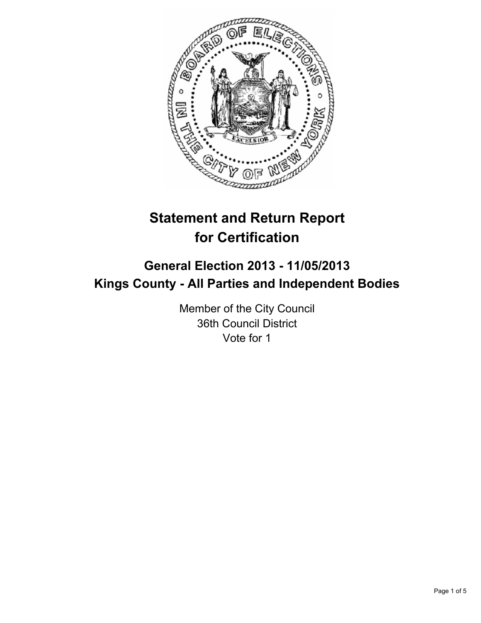

# **Statement and Return Report for Certification**

# **General Election 2013 - 11/05/2013 Kings County - All Parties and Independent Bodies**

Member of the City Council 36th Council District Vote for 1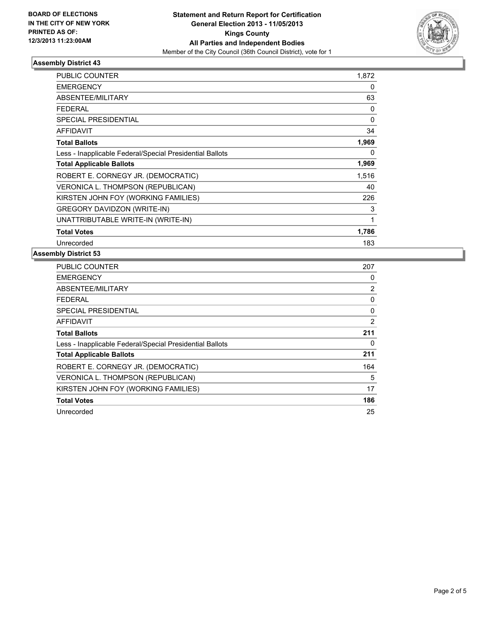

## **Assembly District 43**

| <b>PUBLIC COUNTER</b>                                    | 1,872    |
|----------------------------------------------------------|----------|
| <b>EMERGENCY</b>                                         | 0        |
| ABSENTEE/MILITARY                                        | 63       |
| <b>FEDERAL</b>                                           | 0        |
| SPECIAL PRESIDENTIAL                                     | 0        |
| <b>AFFIDAVIT</b>                                         | 34       |
| <b>Total Ballots</b>                                     | 1,969    |
| Less - Inapplicable Federal/Special Presidential Ballots | $\Omega$ |
| <b>Total Applicable Ballots</b>                          | 1,969    |
| ROBERT E. CORNEGY JR. (DEMOCRATIC)                       | 1,516    |
| <b>VERONICA L. THOMPSON (REPUBLICAN)</b>                 | 40       |
| KIRSTEN JOHN FOY (WORKING FAMILIES)                      | 226      |
| <b>GREGORY DAVIDZON (WRITE-IN)</b>                       | 3        |
| UNATTRIBUTABLE WRITE-IN (WRITE-IN)                       | 1        |
| <b>Total Votes</b>                                       | 1,786    |
| Unrecorded                                               | 183      |

#### **Assembly District 53**

| <b>PUBLIC COUNTER</b>                                    | 207 |
|----------------------------------------------------------|-----|
| <b>EMERGENCY</b>                                         | 0   |
| ABSENTEE/MILITARY                                        | 2   |
| FEDERAL                                                  | 0   |
| SPECIAL PRESIDENTIAL                                     | 0   |
| <b>AFFIDAVIT</b>                                         | 2   |
| <b>Total Ballots</b>                                     | 211 |
| Less - Inapplicable Federal/Special Presidential Ballots | 0   |
| <b>Total Applicable Ballots</b>                          | 211 |
| ROBERT E. CORNEGY JR. (DEMOCRATIC)                       | 164 |
| VERONICA L. THOMPSON (REPUBLICAN)                        | 5   |
| KIRSTEN JOHN FOY (WORKING FAMILIES)                      | 17  |
| <b>Total Votes</b>                                       | 186 |
| Unrecorded                                               | 25  |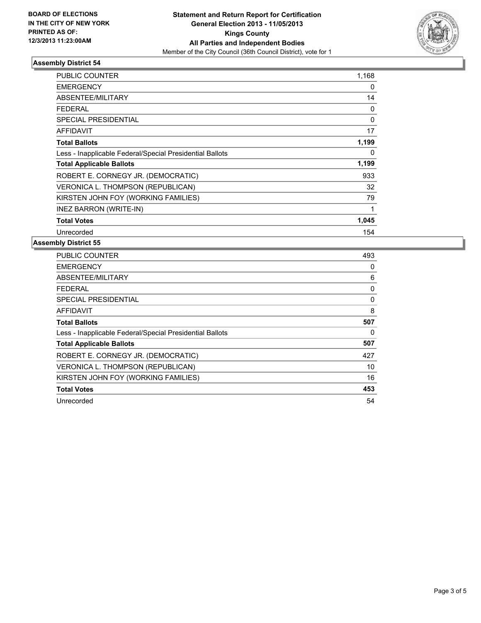

### **Assembly District 54**

| PUBLIC COUNTER                                           | 1,168    |
|----------------------------------------------------------|----------|
| <b>EMERGENCY</b>                                         | 0        |
| ABSENTEE/MILITARY                                        | 14       |
| FEDERAL                                                  | 0        |
| <b>SPECIAL PRESIDENTIAL</b>                              | $\Omega$ |
| AFFIDAVIT                                                | 17       |
| <b>Total Ballots</b>                                     | 1,199    |
| Less - Inapplicable Federal/Special Presidential Ballots | 0        |
| <b>Total Applicable Ballots</b>                          | 1,199    |
| ROBERT E. CORNEGY JR. (DEMOCRATIC)                       | 933      |
| VERONICA L. THOMPSON (REPUBLICAN)                        | 32       |
| KIRSTEN JOHN FOY (WORKING FAMILIES)                      | 79       |
| <b>INEZ BARRON (WRITE-IN)</b>                            | 1        |
| <b>Total Votes</b>                                       | 1,045    |
| Unrecorded                                               | 154      |

#### **Assembly District 55**

| <b>PUBLIC COUNTER</b>                                    | 493 |
|----------------------------------------------------------|-----|
| <b>EMERGENCY</b>                                         | 0   |
| ABSENTEE/MILITARY                                        | 6   |
| FEDERAL                                                  | 0   |
| <b>SPECIAL PRESIDENTIAL</b>                              | 0   |
| AFFIDAVIT                                                | 8   |
| <b>Total Ballots</b>                                     | 507 |
| Less - Inapplicable Federal/Special Presidential Ballots | 0   |
| <b>Total Applicable Ballots</b>                          | 507 |
| ROBERT E. CORNEGY JR. (DEMOCRATIC)                       | 427 |
| VERONICA L. THOMPSON (REPUBLICAN)                        | 10  |
| KIRSTEN JOHN FOY (WORKING FAMILIES)                      | 16  |
| <b>Total Votes</b>                                       | 453 |
| Unrecorded                                               | 54  |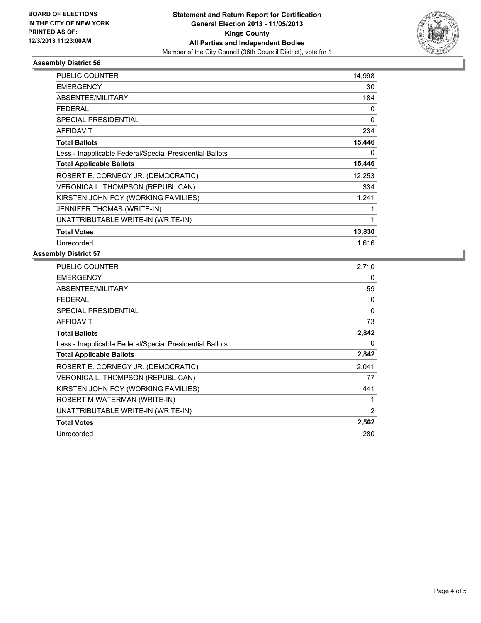

## **Assembly District 56**

| <b>PUBLIC COUNTER</b>                                    | 14,998 |
|----------------------------------------------------------|--------|
| <b>EMERGENCY</b>                                         | 30     |
| ABSENTEE/MILITARY                                        | 184    |
| FEDERAL                                                  | 0      |
| <b>SPECIAL PRESIDENTIAL</b>                              | 0      |
| <b>AFFIDAVIT</b>                                         | 234    |
| <b>Total Ballots</b>                                     | 15,446 |
| Less - Inapplicable Federal/Special Presidential Ballots | 0      |
| <b>Total Applicable Ballots</b>                          | 15,446 |
| ROBERT E. CORNEGY JR. (DEMOCRATIC)                       | 12,253 |
| <b>VERONICA L. THOMPSON (REPUBLICAN)</b>                 | 334    |
| KIRSTEN JOHN FOY (WORKING FAMILIES)                      | 1,241  |
| <b>JENNIFER THOMAS (WRITE-IN)</b>                        | 1      |
| UNATTRIBUTABLE WRITE-IN (WRITE-IN)                       | 1      |
| <b>Total Votes</b>                                       | 13,830 |
| Unrecorded                                               | 1.616  |

#### **Assembly District 57**

| <b>PUBLIC COUNTER</b>                                    | 2,710 |
|----------------------------------------------------------|-------|
| EMERGENCY                                                | 0     |
| ABSENTEE/MILITARY                                        | 59    |
| <b>FEDERAL</b>                                           | 0     |
| SPECIAL PRESIDENTIAL                                     | 0     |
| <b>AFFIDAVIT</b>                                         | 73    |
| <b>Total Ballots</b>                                     | 2,842 |
| Less - Inapplicable Federal/Special Presidential Ballots | 0     |
| <b>Total Applicable Ballots</b>                          | 2,842 |
| ROBERT E. CORNEGY JR. (DEMOCRATIC)                       | 2,041 |
| VERONICA L. THOMPSON (REPUBLICAN)                        | 77    |
| KIRSTEN JOHN FOY (WORKING FAMILIES)                      | 441   |
| ROBERT M WATERMAN (WRITE-IN)                             | 1     |
| UNATTRIBUTABLE WRITE-IN (WRITE-IN)                       | 2     |
| <b>Total Votes</b>                                       | 2,562 |
| Unrecorded                                               | 280   |